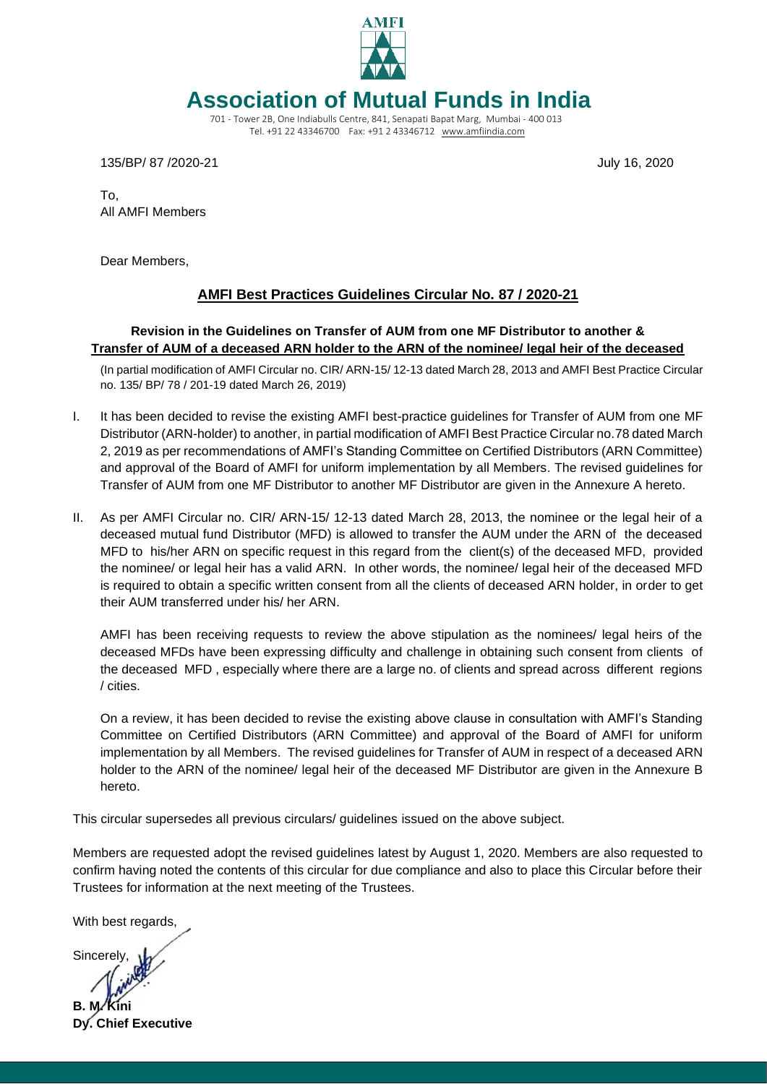

# **Association of Mutual Funds in India**

701 - Tower 2B, One Indiabulls Centre, 841, Senapati Bapat Marg, Mumbai - 400 013 Tel. +91 22 43346700 Fax: +91 2 43346712 [www.amfiindia.com](https://urldefense.proofpoint.com/v2/url?u=http-3A__www.amfiindia.com&d=DQMFAg&c=4JOzdpIlQcN5fHQL_PMhCQ&r=aOfLa9U7LAg9iUGfxtun8oV4n5DuNRYLvaHhJJAazVs&m=gCuz_sLOzFsQ7Wvnu5pYAEBnbYKbeoFlor4SOkpN0ww&s=SN0Kxn0flExNTOsZguOgOgso2fkHyx3mOAhYxqV_pos&e=)

135/BP/ 87 /2020-21 July 16, 2020

To, All AMFI Members

Dear Members,

# **AMFI Best Practices Guidelines Circular No. 87 / 2020-21**

## **Revision in the Guidelines on Transfer of AUM from one MF Distributor to another & Transfer of AUM of a deceased ARN holder to the ARN of the nominee/ legal heir of the deceased**

(In partial modification of AMFI Circular no. CIR/ ARN-15/ 12-13 dated March 28, 2013 and AMFI Best Practice Circular no. 135/ BP/ 78 / 201-19 dated March 26, 2019)

- I. It has been decided to revise the existing AMFI best-practice guidelines for Transfer of AUM from one MF Distributor (ARN-holder) to another, in partial modification of AMFI Best Practice Circular no.78 dated March 2, 2019 as per recommendations of AMFI's Standing Committee on Certified Distributors (ARN Committee) and approval of the Board of AMFI for uniform implementation by all Members. The revised guidelines for Transfer of AUM from one MF Distributor to another MF Distributor are given in the Annexure A hereto.
- II. As per AMFI Circular no. CIR/ ARN-15/ 12-13 dated March 28, 2013, the nominee or the legal heir of a deceased mutual fund Distributor (MFD) is allowed to transfer the AUM under the ARN of the deceased MFD to his/her ARN on specific request in this regard from the client(s) of the deceased MFD, provided the nominee/ or legal heir has a valid ARN. In other words, the nominee/ legal heir of the deceased MFD is required to obtain a specific written consent from all the clients of deceased ARN holder, in order to get their AUM transferred under his/ her ARN.

AMFI has been receiving requests to review the above stipulation as the nominees/ legal heirs of the deceased MFDs have been expressing difficulty and challenge in obtaining such consent from clients of the deceased MFD , especially where there are a large no. of clients and spread across different regions / cities.

On a review, it has been decided to revise the existing above clause in consultation with AMFI's Standing Committee on Certified Distributors (ARN Committee) and approval of the Board of AMFI for uniform implementation by all Members. The revised guidelines for Transfer of AUM in respect of a deceased ARN holder to the ARN of the nominee/ legal heir of the deceased MF Distributor are given in the Annexure B hereto.

This circular supersedes all previous circulars/ guidelines issued on the above subject.

Members are requested adopt the revised guidelines latest by August 1, 2020. Members are also requested to confirm having noted the contents of this circular for due compliance and also to place this Circular before their Trustees for information at the next meeting of the Trustees.

With best regards,

Sincerely,

**B. M. Kini Dy. Chief Executive**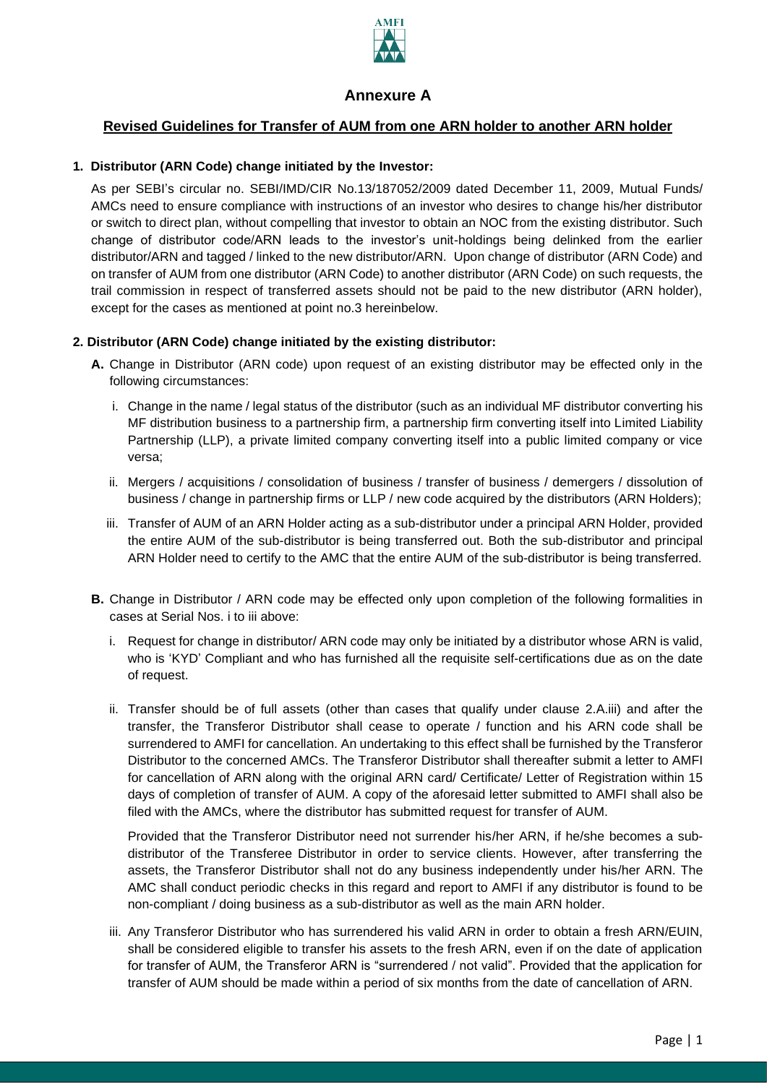

# **Annexure A**

# **Revised Guidelines for Transfer of AUM from one ARN holder to another ARN holder**

#### **1. Distributor (ARN Code) change initiated by the Investor:**

As per SEBI's circular no. SEBI/IMD/CIR No.13/187052/2009 dated December 11, 2009, Mutual Funds/ AMCs need to ensure compliance with instructions of an investor who desires to change his/her distributor or switch to direct plan, without compelling that investor to obtain an NOC from the existing distributor. Such change of distributor code/ARN leads to the investor's unit-holdings being delinked from the earlier distributor/ARN and tagged / linked to the new distributor/ARN. Upon change of distributor (ARN Code) and on transfer of AUM from one distributor (ARN Code) to another distributor (ARN Code) on such requests, the trail commission in respect of transferred assets should not be paid to the new distributor (ARN holder), except for the cases as mentioned at point no.3 hereinbelow.

#### **2. Distributor (ARN Code) change initiated by the existing distributor:**

- **A.** Change in Distributor (ARN code) upon request of an existing distributor may be effected only in the following circumstances:
	- i. Change in the name / legal status of the distributor (such as an individual MF distributor converting his MF distribution business to a partnership firm, a partnership firm converting itself into Limited Liability Partnership (LLP), a private limited company converting itself into a public limited company or vice versa;
	- ii. Mergers / acquisitions / consolidation of business / transfer of business / demergers / dissolution of business / change in partnership firms or LLP / new code acquired by the distributors (ARN Holders);
	- iii. Transfer of AUM of an ARN Holder acting as a sub-distributor under a principal ARN Holder, provided the entire AUM of the sub-distributor is being transferred out. Both the sub-distributor and principal ARN Holder need to certify to the AMC that the entire AUM of the sub-distributor is being transferred.
- **B.** Change in Distributor / ARN code may be effected only upon completion of the following formalities in cases at Serial Nos. i to iii above:
	- i. Request for change in distributor/ ARN code may only be initiated by a distributor whose ARN is valid, who is 'KYD' Compliant and who has furnished all the requisite self-certifications due as on the date of request.
	- ii. Transfer should be of full assets (other than cases that qualify under clause 2.A.iii) and after the transfer, the Transferor Distributor shall cease to operate / function and his ARN code shall be surrendered to AMFI for cancellation. An undertaking to this effect shall be furnished by the Transferor Distributor to the concerned AMCs. The Transferor Distributor shall thereafter submit a letter to AMFI for cancellation of ARN along with the original ARN card/ Certificate/ Letter of Registration within 15 days of completion of transfer of AUM. A copy of the aforesaid letter submitted to AMFI shall also be filed with the AMCs, where the distributor has submitted request for transfer of AUM.

Provided that the Transferor Distributor need not surrender his/her ARN, if he/she becomes a subdistributor of the Transferee Distributor in order to service clients. However, after transferring the assets, the Transferor Distributor shall not do any business independently under his/her ARN. The AMC shall conduct periodic checks in this regard and report to AMFI if any distributor is found to be non-compliant / doing business as a sub-distributor as well as the main ARN holder.

iii. Any Transferor Distributor who has surrendered his valid ARN in order to obtain a fresh ARN/EUIN, shall be considered eligible to transfer his assets to the fresh ARN, even if on the date of application for transfer of AUM, the Transferor ARN is "surrendered / not valid". Provided that the application for transfer of AUM should be made within a period of six months from the date of cancellation of ARN.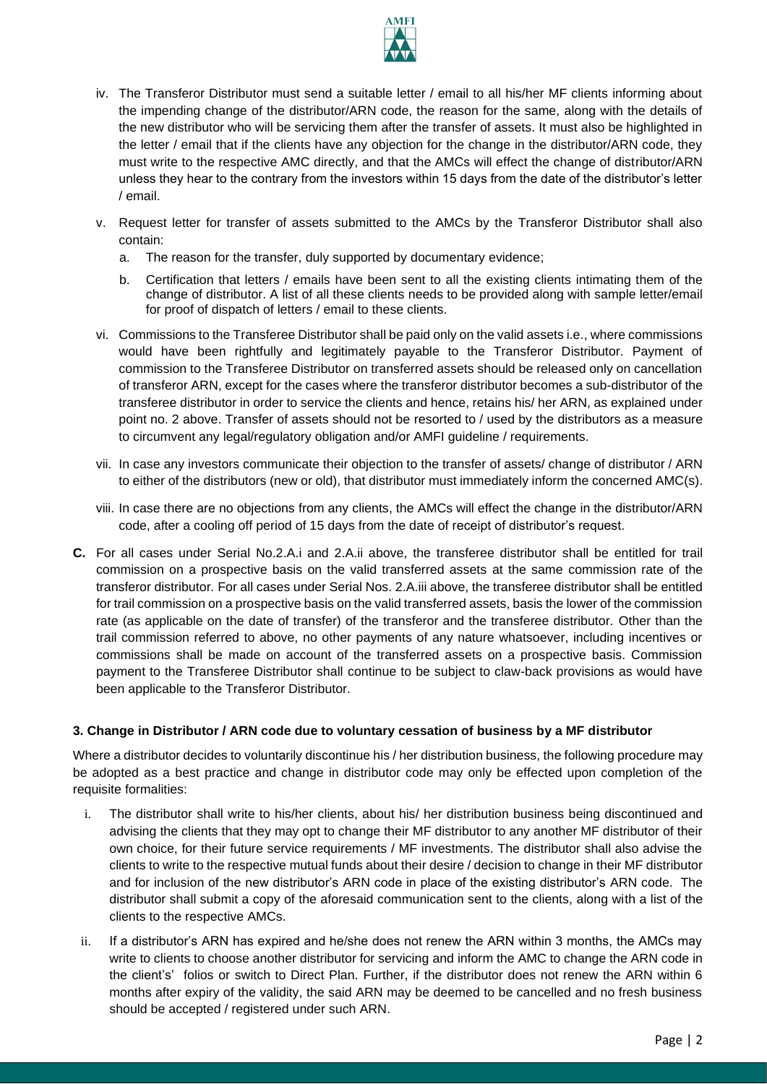

- iv. The Transferor Distributor must send a suitable letter / email to all his/her MF clients informing about the impending change of the distributor/ARN code, the reason for the same, along with the details of the new distributor who will be servicing them after the transfer of assets. It must also be highlighted in the letter / email that if the clients have any objection for the change in the distributor/ARN code, they must write to the respective AMC directly, and that the AMCs will effect the change of distributor/ARN unless they hear to the contrary from the investors within 15 days from the date of the distributor's letter / email.
- v. Request letter for transfer of assets submitted to the AMCs by the Transferor Distributor shall also contain:
	- a. The reason for the transfer, duly supported by documentary evidence;
	- b. Certification that letters / emails have been sent to all the existing clients intimating them of the change of distributor. A list of all these clients needs to be provided along with sample letter/email for proof of dispatch of letters / email to these clients.
- vi. Commissions to the Transferee Distributor shall be paid only on the valid assets i.e., where commissions would have been rightfully and legitimately payable to the Transferor Distributor. Payment of commission to the Transferee Distributor on transferred assets should be released only on cancellation of transferor ARN, except for the cases where the transferor distributor becomes a sub-distributor of the transferee distributor in order to service the clients and hence, retains his/ her ARN, as explained under point no. 2 above. Transfer of assets should not be resorted to / used by the distributors as a measure to circumvent any legal/regulatory obligation and/or AMFI guideline / requirements.
- vii. In case any investors communicate their objection to the transfer of assets/ change of distributor / ARN to either of the distributors (new or old), that distributor must immediately inform the concerned AMC(s).
- viii. In case there are no objections from any clients, the AMCs will effect the change in the distributor/ARN code, after a cooling off period of 15 days from the date of receipt of distributor's request.
- **C.** For all cases under Serial No.2.A.i and 2.A.ii above, the transferee distributor shall be entitled for trail commission on a prospective basis on the valid transferred assets at the same commission rate of the transferor distributor*.* For all cases under Serial Nos. 2.A.iii above, the transferee distributor shall be entitled for trail commission on a prospective basis on the valid transferred assets, basis the lower of the commission rate (as applicable on the date of transfer) of the transferor and the transferee distributor. Other than the trail commission referred to above, no other payments of any nature whatsoever, including incentives or commissions shall be made on account of the transferred assets on a prospective basis. Commission payment to the Transferee Distributor shall continue to be subject to claw-back provisions as would have been applicable to the Transferor Distributor.

#### **3. Change in Distributor / ARN code due to voluntary cessation of business by a MF distributor**

Where a distributor decides to voluntarily discontinue his / her distribution business, the following procedure may be adopted as a best practice and change in distributor code may only be effected upon completion of the requisite formalities:

- i. The distributor shall write to his/her clients, about his/ her distribution business being discontinued and advising the clients that they may opt to change their MF distributor to any another MF distributor of their own choice, for their future service requirements / MF investments. The distributor shall also advise the clients to write to the respective mutual funds about their desire / decision to change in their MF distributor and for inclusion of the new distributor's ARN code in place of the existing distributor's ARN code. The distributor shall submit a copy of the aforesaid communication sent to the clients, along with a list of the clients to the respective AMCs.
- ii. If a distributor's ARN has expired and he/she does not renew the ARN within 3 months, the AMCs may write to clients to choose another distributor for servicing and inform the AMC to change the ARN code in the client's' folios or switch to Direct Plan. Further, if the distributor does not renew the ARN within 6 months after expiry of the validity, the said ARN may be deemed to be cancelled and no fresh business should be accepted / registered under such ARN.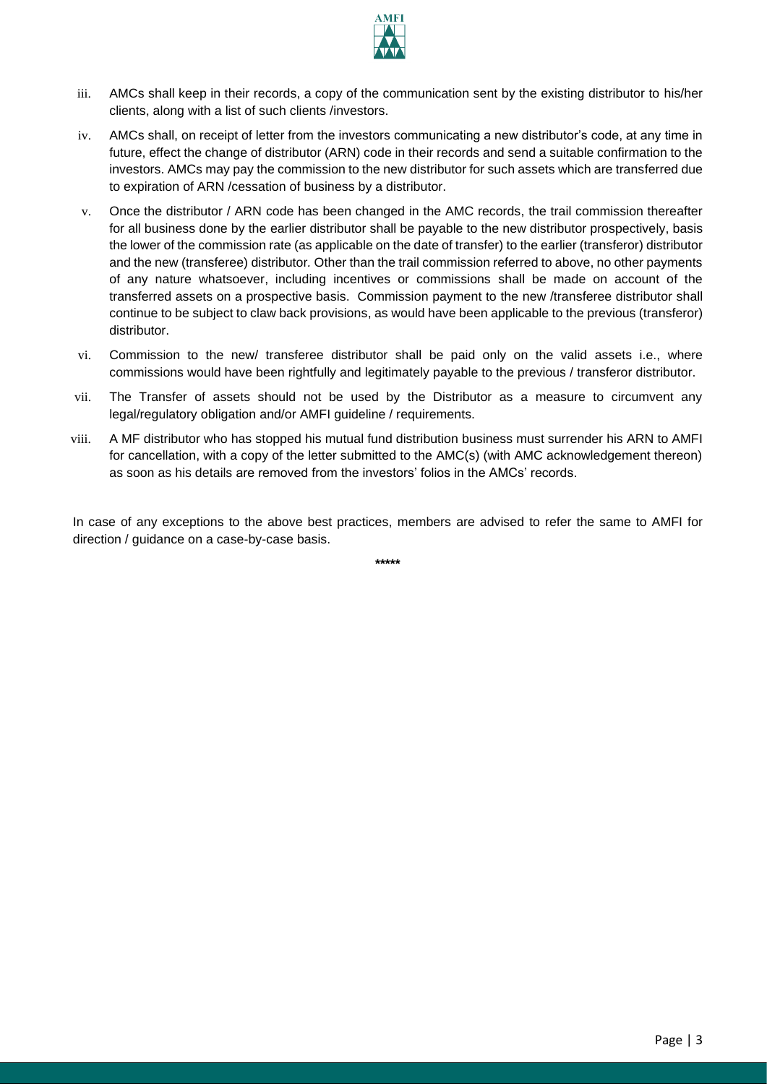

- iii. AMCs shall keep in their records, a copy of the communication sent by the existing distributor to his/her clients, along with a list of such clients /investors.
- iv. AMCs shall, on receipt of letter from the investors communicating a new distributor's code, at any time in future, effect the change of distributor (ARN) code in their records and send a suitable confirmation to the investors. AMCs may pay the commission to the new distributor for such assets which are transferred due to expiration of ARN /cessation of business by a distributor.
- v. Once the distributor / ARN code has been changed in the AMC records, the trail commission thereafter for all business done by the earlier distributor shall be payable to the new distributor prospectively, basis the lower of the commission rate (as applicable on the date of transfer) to the earlier (transferor) distributor and the new (transferee) distributor*.* Other than the trail commission referred to above, no other payments of any nature whatsoever, including incentives or commissions shall be made on account of the transferred assets on a prospective basis. Commission payment to the new /transferee distributor shall continue to be subject to claw back provisions, as would have been applicable to the previous (transferor) distributor.
- vi. Commission to the new/ transferee distributor shall be paid only on the valid assets i.e., where commissions would have been rightfully and legitimately payable to the previous / transferor distributor.
- vii. The Transfer of assets should not be used by the Distributor as a measure to circumvent any legal/regulatory obligation and/or AMFI guideline / requirements.
- viii. A MF distributor who has stopped his mutual fund distribution business must surrender his ARN to AMFI for cancellation, with a copy of the letter submitted to the AMC(s) (with AMC acknowledgement thereon) as soon as his details are removed from the investors' folios in the AMCs' records.

In case of any exceptions to the above best practices, members are advised to refer the same to AMFI for direction / guidance on a case-by-case basis.

**\*\*\*\*\***